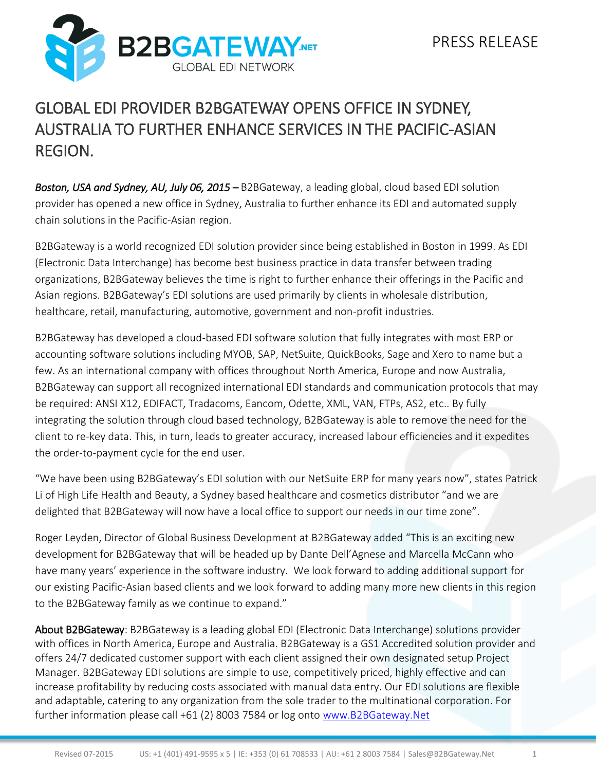

## GLOBAL EDI PROVIDER B2BGATEWAY OPENS OFFICE IN SYDNEY, AUSTRALIA TO FURTHER ENHANCE SERVICES IN THE PACIFIC-ASIAN REGION.

*Boston, USA and Sydney, AU, July 06, 2015* – B2BGateway, a leading global, cloud based EDI solution provider has opened a new office in Sydney, Australia to further enhance its EDI and automated supply chain solutions in the Pacific-Asian region.

B2BGateway is a world recognized EDI solution provider since being established in Boston in 1999. As EDI (Electronic Data Interchange) has become best business practice in data transfer between trading organizations, B2BGateway believes the time is right to further enhance their offerings in the Pacific and Asian regions. B2BGateway's EDI solutions are used primarily by clients in wholesale distribution, healthcare, retail, manufacturing, automotive, government and non-profit industries.

B2BGateway has developed a cloud-based EDI software solution that fully integrates with most ERP or accounting software solutions including MYOB, SAP, NetSuite, QuickBooks, Sage and Xero to name but a few. As an international company with offices throughout North America, Europe and now Australia, B2BGateway can support all recognized international EDI standards and communication protocols that may be required: ANSI X12, EDIFACT, Tradacoms, Eancom, Odette, XML, VAN, FTPs, AS2, etc.. By fully integrating the solution through cloud based technology, B2BGateway is able to remove the need for the client to re-key data. This, in turn, leads to greater accuracy, increased labour efficiencies and it expedites the order-to-payment cycle for the end user.

"We have been using B2BGateway's EDI solution with our NetSuite ERP for many years now", states Patrick Li of High Life Health and Beauty, a Sydney based healthcare and cosmetics distributor "and we are delighted that B2BGateway will now have a local office to support our needs in our time zone".

Roger Leyden, Director of Global Business Development at B2BGateway added "This is an exciting new development for B2BGateway that will be headed up by Dante Dell'Agnese and Marcella McCann who have many years' experience in the software industry. We look forward to adding additional support for our existing Pacific-Asian based clients and we look forward to adding many more new clients in this region to the B2BGateway family as we continue to expand."

About B2BGateway: B2BGateway is a leading global EDI (Electronic Data Interchange) solutions provider with offices in North America, Europe and Australia. B2BGateway is a GS1 Accredited solution provider and offers 24/7 dedicated customer support with each client assigned their own designated setup Project Manager. B2BGateway EDI solutions are simple to use, competitively priced, highly effective and can increase profitability by reducing costs associated with manual data entry. Our EDI solutions are flexible and adaptable, catering to any organization from the sole trader to the multinational corporation. For further information please call +61 (2) 8003 7584 or log onto [www.B2BGateway.Net](http://www.b2bgateway.net/)